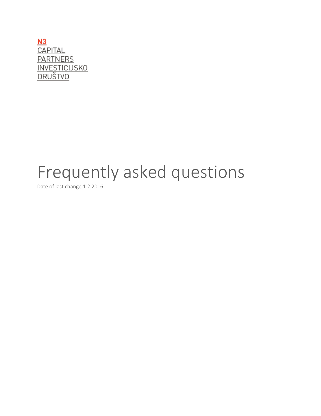# $N3$ CAPITAL **PARTNERS** INVESTICIJSKO<br>DRUŠTVO

# Frequently asked questions

Date of last change 1.2.2016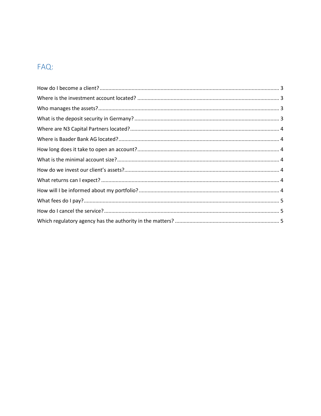# FAQ:

<span id="page-1-0"></span>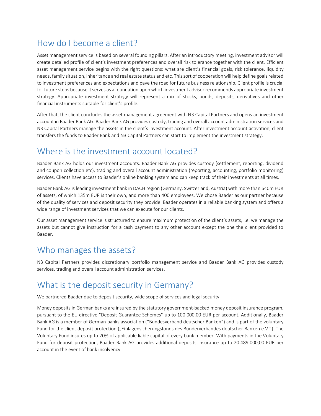## How do I become a client?

Asset management service is based on several founding pillars. After an introductory meeting, investment advisor will create detailed profile of client's investment preferences and overall risk tolerance together with the client. Efficient asset management service begins with the right questions: what are client's financial goals, risk tolerance, liquidity needs, family situation, inheritance and real estate status and etc. This sort of cooperation will help define goals related to investment preferences and expectations and pave the road for future business relationship. Client profile is crucial for future steps because it serves as a foundation upon which investment advisor recommends appropriate investment strategy. Appropriate investment strategy will represent a mix of stocks, bonds, deposits, derivatives and other financial instruments suitable for client's profile.

After that, the client concludes the asset management agreement with N3 Capital Partners and opens an investment account in Baader Bank AG. Baader Bank AG provides custody, trading and overall account administration services and N3 Capital Partners manage the assets in the client's investment account. After investment account activation, client transfers the funds to Baader Bank and N3 Capital Partners can start to implement the investment strategy.

## <span id="page-2-0"></span>Where is the investment account located?

Baader Bank AG holds our investment accounts. Baader Bank AG provides custody (settlement, reporting, dividend and coupon collection etc), trading and overall account administration (reporting, accounting, portfolio monitoring) services. Clients have access to Baader's online banking system and can keep track of their investments at all times.

Baader Bank AG is leading investment bank in DACH region (Germany, Switzerland, Austria) with more than 640m EUR of assets, of which 135m EUR is their own, and more than 400 employees. We chose Baader as our partner because of the quality of services and deposit security they provide. Baader operates in a reliable banking system and offers a wide range of investment services that we can execute for our clients.

Our asset management service is structured to ensure maximum protection of the client's assets, i.e. we manage the assets but cannot give instruction for a cash payment to any other account except the one the client provided to Baader.

#### <span id="page-2-1"></span>Who manages the assets?

N3 Capital Partners provides discretionary portfolio management service and Baader Bank AG provides custody services, trading and overall account administration services.

## <span id="page-2-2"></span>What is the deposit security in Germany?

We partnered Baader due to deposit security, wide scope of services and legal security.

Money deposits in German banks are insured by the statutory government-backed money deposit insurance program, pursuant to the EU directive "Deposit Guarantee Schemes" up to 100.000,00 EUR per account. Additionally, Baader Bank AG is a member of German banks association ("Bundesverband deutscher Banken") and is part of the voluntary Fund for the client deposit protection ("Einlagensicherungsfonds des Bunderverbandes deutscher Banken e.V."). The Voluntary Fund insures up to 20% of applicable liable capital of every bank member. With payments in the Voluntary Fund for deposit protection, Baader Bank AG provides additional deposits insurance up to 20.489.000,00 EUR per account in the event of bank insolvency.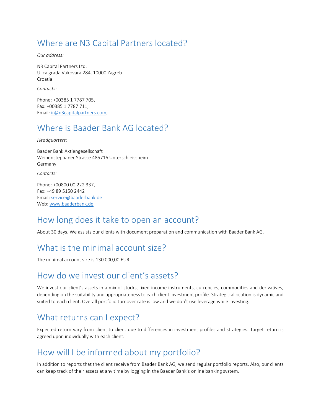#### <span id="page-3-0"></span>Where are N3 Capital Partners located?

*Our address:*

N3 Capital Partners Ltd. Ulica grada Vukovara 284, 10000 Zagreb Croatia

*Contacts:*

Phone: +00385 1 7787 705, Fax: +00385 1 7787 711; Email: [ir@n3capitalpartners.com;](mailto:ir@n3capitalpartners.com)

# <span id="page-3-1"></span>Where is Baader Bank AG located?

*Headquarters:*

Baader Bank Aktiengesellschaft Weihenstephaner Strasse 485716 Unterschleissheim Germany

*Contacts:*

Phone: +00800 00 222 337, Fax: +49 89 5150 2442 Email: [service@baaderbank.de](mailto:service@baaderbank.de) Web: [www.baaderbank.de](http://www.baaderbank.de/) 

#### <span id="page-3-2"></span>How long does it take to open an account?

About 30 days. We assists our clients with document preparation and communication with Baader Bank AG.

# <span id="page-3-3"></span>What is the minimal account size?

The minimal account size is 130.000,00 EUR.

## <span id="page-3-4"></span>How do we invest our client's assets?

We invest our client's assets in a mix of stocks, fixed income instruments, currencies, commodities and derivatives, depending on the suitability and appropriateness to each client investment profile. Strategic allocation is dynamic and suited to each client. Overall portfolio turnover rate is low and we don't use leverage while investing.

#### <span id="page-3-5"></span>What returns can I expect?

Expected return vary from client to client due to differences in investment profiles and strategies. Target return is agreed upon individually with each client.

# <span id="page-3-6"></span>How will I be informed about my portfolio?

In addition to reports that the client receive from Baader Bank AG, we send regular portfolio reports. Also, our clients can keep track of their assets at any time by logging in the Baader Bank's online banking system.